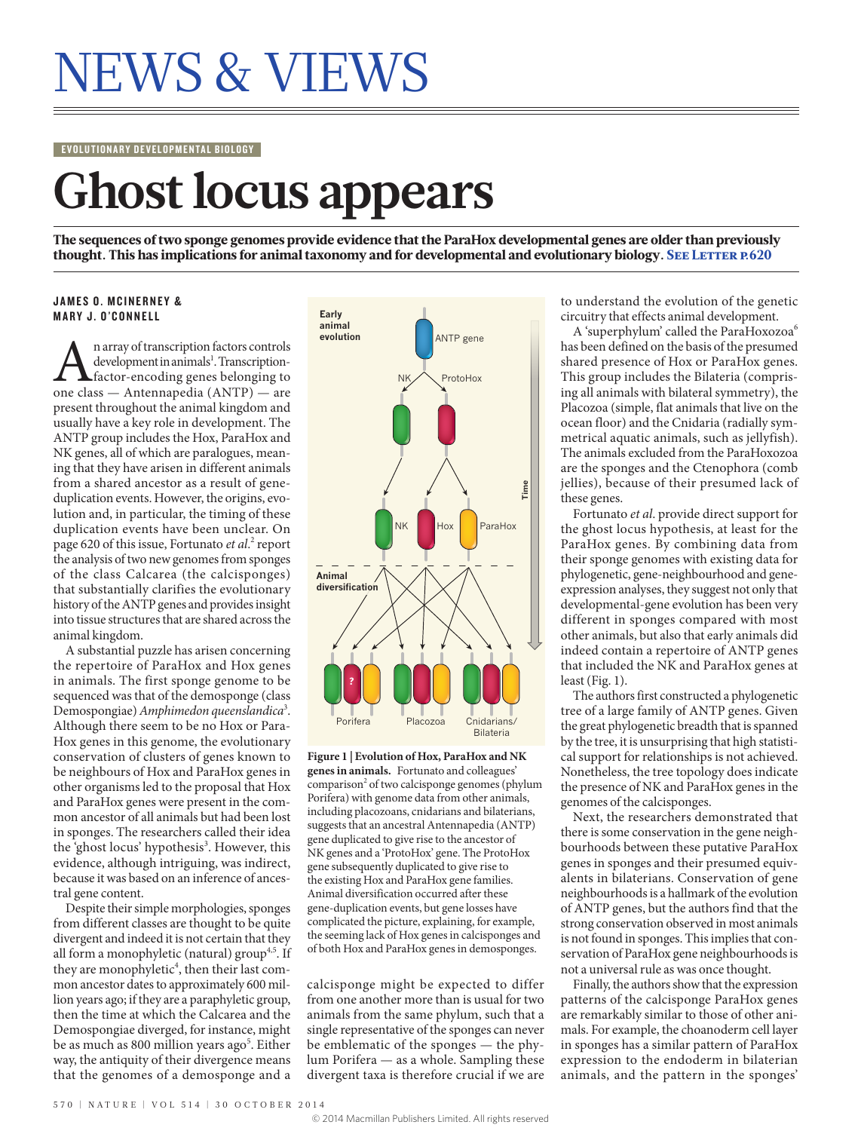# NEWS & VIEWS

EVOLUTIONARY DEVELOPMENTAL BIOLOGY

## **Ghost locus appears**

The sequences of two sponge genomes provide evidence that the ParaHox developmental genes are older than previously thought. This has implications for animal taxonomy and for developmental and evolutionary biology. SEE LETTER P.620

#### **JAMES O. MCINERNEY &** MARY J. O'CONNELL

 $\begin{array}{c} \displaystyle {\bf \large \color{black} \text{~a} \text{~array of transcription factors controls} }\\ \text{development in animals}^{\rm i}. \text{Transcription-}\text{factor-encoding genes belonging to} \\ \text{one class} \displaystyle - \text{Antennapedia (ANTP)} \displaystyle - \text{are} \end{array}$ development in animals<sup>1</sup>. Transcriptionfactor-encoding genes belonging to present throughout the animal kingdom and usually have a key role in development. The ANTP group includes the Hox, ParaHox and NK genes, all of which are paralogues, meaning that they have arisen in different animals from a shared ancestor as a result of geneduplication events. However, the origins, evolution and, in particular, the timing of these duplication events have been unclear. On page 620 of this issue, Fortunato *et al*.<sup>2</sup> report the analysis of two new genomes from sponges of the class Calcarea (the calcisponges) that substantially clarifies the evolutionary history of the ANTP genes and provides insight into tissue structures that are shared across the animal kingdom.

A substantial puzzle has arisen concerning the repertoire of ParaHox and Hox genes in animals. The first sponge genome to be sequenced was that of the demosponge (class Demospongiae) *Amphimedon queenslandica*<sup>3</sup> . Although there seem to be no Hox or Para-Hox genes in this genome, the evolutionary conservation of clusters of genes known to be neighbours of Hox and ParaHox genes in other organisms led to the proposal that Hox and ParaHox genes were present in the common ancestor of all animals but had been lost in sponges. The researchers called their idea the 'ghost locus' hypothesis<sup>3</sup>. However, this evidence, although intriguing, was indirect, because it was based on an inference of ancestral gene content.

Despite their simple morphologies, sponges from different classes are thought to be quite divergent and indeed it is not certain that they all form a monophyletic (natural) group<sup> $4,5$ </sup>. If they are monophyletic<sup>4</sup>, then their last common ancestor dates to approximately 600 million years ago; if they are a paraphyletic group, then the time at which the Calcarea and the Demospongiae diverged, for instance, might be as much as 800 million years ago<sup>5</sup>. Either way, the antiquity of their divergence means that the genomes of a demosponge and a



**Figure 1 | Evolution of Hox, ParaHox and NK genes in animals.** Fortunato and colleagues' comparison<sup>2</sup> of two calcisponge genomes (phylum Porifera) with genome data from other animals, including placozoans, cnidarians and bilaterians, suggests that an ancestral Antennapedia (ANTP) gene duplicated to give rise to the ancestor of NK genes and a 'ProtoHox' gene. The ProtoHox gene subsequently duplicated to give rise to the existing Hox and ParaHox gene families. Animal diversification occurred after these gene-duplication events, but gene losses have complicated the picture, explaining, for example, the seeming lack of Hox genes in calcisponges and of both Hox and ParaHox genes in demosponges.

calcisponge might be expected to differ from one another more than is usual for two animals from the same phylum, such that a single representative of the sponges can never be emblematic of the sponges — the phylum Porifera — as a whole. Sampling these divergent taxa is therefore crucial if we are

to understand the evolution of the genetic circuitry that effects animal development.

A 'superphylum' called the ParaHoxozoa6 has been defined on the basis of the presumed shared presence of Hox or ParaHox genes. This group includes the Bilateria (comprising all animals with bilateral symmetry), the Placozoa (simple, flat animals that live on the ocean floor) and the Cnidaria (radially symmetrical aquatic animals, such as jellyfish). The animals excluded from the ParaHoxozoa are the sponges and the Ctenophora (comb jellies), because of their presumed lack of these genes.

Fortunato *et al*. provide direct support for the ghost locus hypothesis, at least for the ParaHox genes. By combining data from their sponge genomes with existing data for phylogenetic, gene-neighbourhood and geneexpression analyses, they suggest not only that developmental-gene evolution has been very different in sponges compared with most other animals, but also that early animals did indeed contain a repertoire of ANTP genes that included the NK and ParaHox genes at least (Fig. 1).

The authors first constructed a phylogenetic tree of a large family of ANTP genes. Given the great phylogenetic breadth that is spanned by the tree, it is unsurprising that high statistical support for relationships is not achieved. Nonetheless, the tree topology does indicate the presence of NK and ParaHox genes in the genomes of the calcisponges.

Next, the researchers demonstrated that there is some conservation in the gene neighbourhoods between these putative ParaHox genes in sponges and their presumed equivalents in bilaterians. Conservation of gene neighbourhoods is a hallmark of the evolution of ANTP genes, but the authors find that the strong conservation observed in most animals is not found in sponges. This implies that conservation of ParaHox gene neighbourhoods is not a universal rule as was once thought.

Finally, the authors show that the expression patterns of the calcisponge ParaHox genes are remarkably similar to those of other animals. For example, the choanoderm cell layer in sponges has a similar pattern of ParaHox expression to the endoderm in bilaterian animals, and the pattern in the sponges'